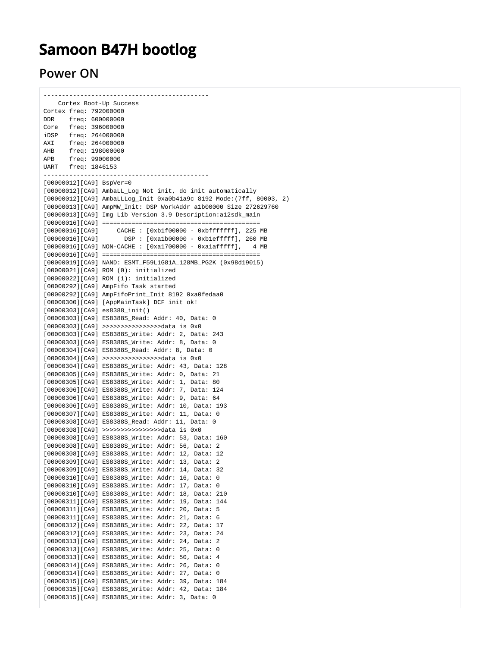## **Samoon B47H bootlog**

## **Power ON**

| Cortex Boot-Up Success |                                             |                                                                                                    |
|------------------------|---------------------------------------------|----------------------------------------------------------------------------------------------------|
|                        | Cortex freq: 792000000                      |                                                                                                    |
|                        | DDR freq: 600000000                         |                                                                                                    |
|                        | Core freq: 396000000                        |                                                                                                    |
|                        |                                             |                                                                                                    |
|                        | iDSP freq: 264000000<br>AXI freq: 264000000 |                                                                                                    |
|                        |                                             |                                                                                                    |
|                        | AHB freq: 198000000                         |                                                                                                    |
|                        | APB freq: 99000000<br>UART freq: 1846153    |                                                                                                    |
|                        |                                             |                                                                                                    |
|                        | . _ _ _ _ _ _ _ _ _ _ _ _ _ _ _ _           | -------------------------                                                                          |
|                        |                                             | $[00000012][C_A9]$ BspVer=0                                                                        |
|                        |                                             | [00000012][CA9] AmbaLL_Log Not init, do init automatically                                         |
|                        |                                             | [00000012][CA9] AmbaLLLog_Init 0xa0b41a9c 8192 Mode: (7ff, 80003, 2)                               |
|                        |                                             | [00000013][CA9] AmpMW_Init: DSP WorkAddr alb00000 Size 272629760                                   |
|                        |                                             | [00000013][CA9] Img Lib Version 3.9 Description:al2sdk_main                                        |
|                        |                                             |                                                                                                    |
|                        |                                             | $[00000016][C A9]$ CACHE : $[0xb1f00000 - 0xbffffff], 225 MB$                                      |
|                        |                                             | [00000016][CA9] DSP: [0xa1b00000 - 0xb1efffff], 260 MB                                             |
|                        |                                             | [00000016][CA9] NON-CACHE : [0xa1700000 - 0xalafffff], 4 MB                                        |
|                        |                                             |                                                                                                    |
|                        |                                             | [00000019][CA9] NAND: ESMT_F59L1G81A_128MB_PG2K (0x98d19015)                                       |
|                        |                                             | $[00000021][C\text{A}9]$ ROM $(0)$ : initialized                                                   |
|                        |                                             | $[00000022][CA9]$ ROM $(1):$ initialized                                                           |
|                        |                                             | [00000292][CA9] AmpFifo Task started                                                               |
|                        |                                             | [00000292][CA9] AmpFifoPrint_Init 8192 0xa0fedaa0                                                  |
|                        |                                             | [00000300][CA9] [AppMainTask] DCF init ok!                                                         |
|                        |                                             | $[00000303][C A9]$ es $8388$ _init()                                                               |
|                        |                                             | [00000303][CA9] ES8388S_Read: Addr: 40, Data: 0                                                    |
|                        |                                             | [00000303][CA9] >>>>>>>>>>>>>>>>>data is 0x0                                                       |
|                        |                                             | [00000303][CA9] ES8388S_Write: Addr: 2, Data: 243                                                  |
|                        |                                             | [00000303][CA9] ES8388S_Write: Addr: 8, Data: 0                                                    |
|                        |                                             | [00000304][CA9] ES8388S_Read: Addr: 8, Data: 0                                                     |
|                        |                                             | [00000304][CA9] >>>>>>>>>>>>>>>>>>data is 0x0                                                      |
|                        |                                             | [00000304][CA9] ES8388S_Write: Addr: 43, Data: 128                                                 |
|                        |                                             | [00000305][CA9] ES8388S_Write: Addr: 0, Data: 21                                                   |
|                        |                                             | [00000305][CA9] ES8388S_Write: Addr: 1, Data: 80                                                   |
|                        |                                             | [00000306][CA9] ES8388S_Write: Addr: 7, Data: 124                                                  |
|                        |                                             | [00000306][CA9] ES8388S_Write: Addr: 9, Data: 64                                                   |
|                        |                                             | [00000306][CA9] ES8388S_Write: Addr: 10, Data: 193                                                 |
|                        |                                             | [00000307][CA9] ES8388S_Write: Addr: 11, Data: 0                                                   |
|                        |                                             | [00000308][CA9] ES8388S_Read: Addr: 11, Data: 0                                                    |
|                        |                                             | [00000308][CA9] >>>>>>>>>>>>>>>>>data is 0x0                                                       |
|                        |                                             | [00000308][CA9] ES8388S Write: Addr: 53, Data: 160                                                 |
|                        |                                             | [00000308][CA9] ES8388S_Write: Addr: 56, Data: 2                                                   |
|                        |                                             | [00000308][CA9] ES8388S_Write: Addr: 12, Data: 12                                                  |
|                        |                                             | [00000309][CA9] ES8388S_Write: Addr: 13, Data:<br>2                                                |
|                        |                                             | [00000309][CA9] ES8388S_Write: Addr: 14, Data: 32                                                  |
|                        |                                             | [00000310][CA9] ES8388S_Write: Addr: 16, Data:<br>0                                                |
|                        |                                             | [00000310][CA9] ES8388S_Write: Addr: 17, Data:<br>0                                                |
|                        |                                             | [00000310][CA9] ES8388S_Write: Addr: 18, Data:<br>210                                              |
|                        |                                             | [00000311][CA9] ES8388S_Write: Addr: 19, Data:<br>144                                              |
|                        |                                             | [00000311][CA9] ES8388S_Write: Addr: 20, Data:<br>5                                                |
|                        |                                             |                                                                                                    |
|                        |                                             | [00000311][CA9] ES8388S_Write: Addr: 21, Data: 6<br>[00000312][CA9] ES8388S_Write: Addr: 22, Data: |
|                        |                                             | 17                                                                                                 |
|                        |                                             | [00000312][CA9] ES8388S_Write: Addr: 23, Data:<br>24                                               |
|                        |                                             | [00000313][CA9] ES8388S_Write: Addr: 24, Data:<br>2                                                |
|                        |                                             | [00000313][CA9] ES8388S_Write: Addr: 25, Data: 0                                                   |
|                        |                                             | [00000313][CA9] ES8388S_Write: Addr: 50, Data: 4                                                   |
|                        |                                             | [00000314][CA9] ES8388S_Write: Addr: 26, Data:<br>0                                                |
|                        |                                             | [00000314][CA9] ES8388S_Write: Addr: 27, Data:<br>0                                                |
|                        |                                             | [00000315][CA9] ES8388S_Write: Addr: 39, Data: 184                                                 |
|                        |                                             | [00000315][CA9] ES8388S_Write: Addr: 42, Data: 184                                                 |
|                        |                                             | [00000315][CA9] ES8388S_Write: Addr: 3, Data: 0                                                    |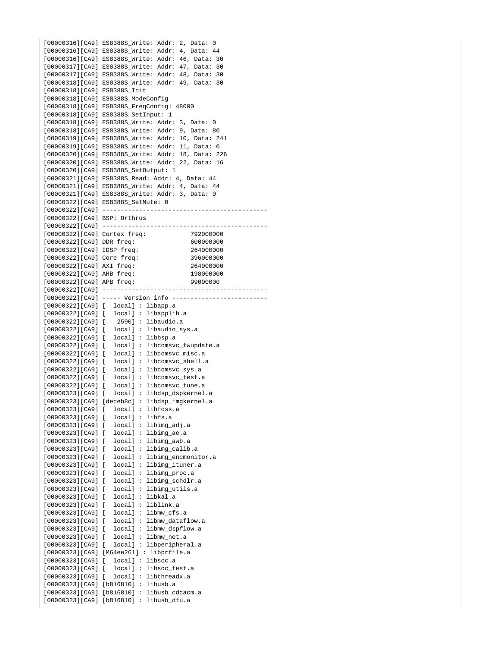[00000316][CA9] ES8388S\_Write: Addr: 2, Data: 0 [00000316][CA9] ES8388S\_Write: Addr: 4, Data: 44 [00000316][CA9] ES8388S\_Write: Addr: 46, Data: 30 [00000317][CA9] ES8388S\_Write: Addr: 47, Data: 30 [00000317][CA9] ES8388S\_Write: Addr: 48, Data: 30 [00000318][CA9] ES8388S\_Write: Addr: 49, Data: 30 [00000318][CA9] ES8388S\_Init [00000318][CA9] ES8388S\_ModeConfig [00000318][CA9] ES8388S\_FreqConfig: 48000 [00000318][CA9] ES8388S\_SetInput: 1 [00000318][CA9] ES8388S\_Write: Addr: 3, Data: 0 [00000318][CA9] ES8388S\_Write: Addr: 9, Data: 80 [00000319][CA9] ES8388S\_Write: Addr: 10, Data: 241 [00000319][CA9] ES8388S\_Write: Addr: 11, Data: 0 [00000320][CA9] ES8388S\_Write: Addr: 18, Data: 226 [00000320][CA9] ES8388S\_Write: Addr: 22, Data: 16 [00000320][CA9] ES8388S\_SetOutput: 1 [00000321][CA9] ES8388S\_Read: Addr: 4, Data: 44 [00000321][CA9] ES8388S\_Write: Addr: 4, Data: 44 [00000321][CA9] ES8388S\_Write: Addr: 3, Data: 0 [00000322][CA9] ES8388S\_SetMute: 0 [00000322][CA9] --------------------------------------------- [00000322][CA9] BSP: Orthrus [00000322][CA9] --------------------------------------------- [00000322][CA9] Cortex freq: 792000000 [00000322][CA9] DDR freq: 600000000 [00000322][CA9] IDSP freq: 264000000 [00000322][CA9] Core freq: 396000000 [00000322][CA9] AXI freq: 264000000 [00000322][CA9] AHB freq: 198000000 [00000322][CA9] APB freq: 99000000 [00000322][CA9] --------------------------------------------- [00000322][CA9] ----- Version info -------------------------- [00000322][CA9] [ local] : libapp.a [00000322][CA9] [ local] : libapplib.a [00000322][CA9] [ 2590] : libaudio.a [00000322][CA9] [ local] : libaudio\_sys.a [00000322][CA9] [ local] : libbsp.a [00000322][CA9] [ local] : libcomsvc\_fwupdate.a  $[00000322][CA9]$  [  $local$ ] : libcomsvc misc.a [00000322][CA9] [ local] : libcomsvc\_shell.a [00000322][CA9] [ local] : libcomsvc sys.a [00000322][CA9] [ local] : libcomsvc\_test.a [00000322][CA9] [ local] : libcomsvc\_tune.a [00000323][CA9] [ local] : libdsp\_dspkernel.a [00000323][CA9] [deceb8c] : libdsp\_imgkernel.a [00000323][CA9] [ local] : libfoss.a [00000323][CA9] [ local] : libfs.a [00000323][CA9] [ local] : libimg\_adj.a [00000323][CA9] [ local] : libimg\_ae.a [00000323][CA9] [ local] : libimg\_awb.a [00000323][CA9] [ local] : libimg\_calib.a [00000323][CA9] [ local] : libimg encmonitor.a [00000323][CA9] [ local] : libimg\_ituner.a [00000323][CA9] [ local] : libimg proc.a [00000323][CA9] [ local] : libimg\_schdlr.a [00000323][CA9] [ local] : libimg\_utils.a [00000323][CA9] [ local] : libkal.a [00000323][CA9] [ local] : liblink.a [00000323][CA9] [ local] : libmw\_cfs.a [00000323][CA9] [ local] : libmw\_dataflow.a [00000323][CA9] [ local] : libmw\_dspflow.a [00000323][CA9] [ local] : libmw\_net.a [00000323][CA9] [ local] : libperipheral.a [00000323][CA9] [M64ee261] : libprfile.a [00000323][CA9] [ local] : libsoc.a [00000323][CA9] [ local] : libsoc\_test.a [00000323][CA9] [ local] : libthreadx.a [00000323][CA9] [b816810] : libusb.a [00000323][CA9] [b816810] : libusb\_cdcacm.a [00000323][CA9] [b816810] : libusb\_dfu.a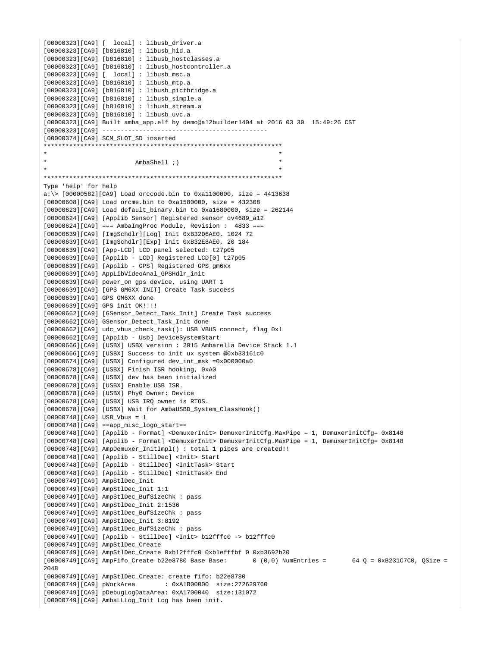```
[00000323][CA9] [ local] : libusb_driver.a
[00000323][CA9] [b816810] : libusb_hid.a
[00000323][CA9] [b816810] : libusb_hostclasses.a
[00000323][CA9] [b816810] : libusb_hostcontroller.a
[00000323][CA9] [ local] : libusb_msc.a
[00000323][CA9] [b816810] : libusb_mtp.a
[00000323][CA9] [b816810] : libusb_pictbridge.a
[00000323][CA9] [b816810] : libusb_simple.a
[00000323][CA9] [b816810] : libusb_stream.a
[00000323][CA9] [b816810] : libusb_uvc.a
[00000323][CA9] Built amba_app.elf by demo@a12builder1404 at 2016 03 30 15:49:26 CST
[00000323][CA9] ---------------------------------------------
[00000374][CA9] SCM_SLOT_SD inserted
*****************************************************************
* *
                       AmbaShell ;)
* *
*****************************************************************
Type 'help' for help
a:\rangle [00000582][CA9] Load orccode.bin to 0xall00000, size = 4413638
[00000608][CA9] Load orcme.bin to 0xa1580000, size = 432308
[00000623][CA9] Load default binary.bin to 0xa1680000, size = 262144
[00000624][CA9] [Applib Sensor] Registered sensor ov4689_a12
[00000624][CA9] == AmbaImgProc Module, Revision : 4833 ==[00000639][CA9] [ImgSchdlr][Log] Init 0xB32D6AE0, 1024 72
[00000639][CA9] [ImgSchdlr][Exp] Init 0xB32E8AE0, 20 184
[00000639][CA9] [App-LCD] LCD panel selected: t27p05
[00000639][CA9] [Applib - LCD] Registered LCD[0] t27p05
[00000639][CA9] [Applib - GPS] Registered GPS gm6xx
[00000639][CA9] AppLibVideoAnal_GPSHdlr_init
[00000639][CA9] power_on gps device, using UART 1
[00000639][CA9] [GPS GM6XX INIT] Create Task success
[00000639][CA9] GPS GM6XX done
[00000639][CA9] GPS init OK!!!!
[00000662][CA9] [GSensor_Detect_Task_Init] Create Task success
[00000662][CA9] GSensor_Detect_Task_Init done
[00000662][CA9] udc_vbus_check_task(): USB VBUS connect, flag 0x1
[00000662][CA9] [Applib - Usb] DeviceSystemStart
[00000666][CA9] [USBX] USBX version : 2015 Ambarella Device Stack 1.1
[00000666][CA9] [USBX] Success to init ux system @0xb33161c0
[00000674][CA9] [USBX] Configured dev_int_msk =0x000000a0
[00000678][CA9] [USBX] Finish ISR hooking, 0xA0
[00000678][CA9] [USBX] dev has been initialized
[00000678][CA9] [USBX] Enable USB ISR.
[00000678][CA9] [USBX] Phy0 Owner: Device
[00000678][CA9] [USBX] USB IRQ owner is RTOS.
[00000678][CA9] [USBX] Wait for AmbaUSBD_System_ClassHook()
[00000748][CA9] USB Vbus = 1
[00000748][CA9] ==app misc logo start==
[00000748][CA9] [Applib - Format] <DemuxerInit> DemuxerInitCfg.MaxPipe = 1, DemuxerInitCfg= 0x8148
[00000748][CA9] [Applib - Format] <DemuxerInit> DemuxerInitCfg.MaxPipe = 1, DemuxerInitCfg= 0x8148
[00000748][CA9] AmpDemuxer_InitImpl() : total 1 pipes are created!!
[00000748][CA9] [Applib - StillDec] <Init> Start
[00000748][CA9] [Applib - StillDec] <InitTask> Start
[00000748][CA9] [Applib - StillDec] <InitTask> End
[00000749][CA9] AmpStlDec_Init
[00000749][CA9] AmpStlDec_Init 1:1
[00000749][CA9] AmpStlDec_BufSizeChk : pass
[00000749][CA9] AmpStlDec_Init 2:1536
[00000749][CA9] AmpStlDec_BufSizeChk : pass
[00000749][CA9] AmpStlDec_Init 3:8192
[00000749][CA9] AmpStlDec_BufSizeChk : pass
[00000749][CA9] [Applib - StillDec] <Init> b12fffc0 -> b12fffc0
[00000749][CA9] AmpStlDec_Create
[00000749][CA9] AmpStlDec_Create 0xb12fffc0 0xb1efffbf 0 0xb3692b20
[00000749][C\text{A}9] AmpFifo_Create b22e8780 Base Base: 0 (0,0) NumEntries = 64 Q = 0xB231C7C0, QSize =
2048
[00000749][CA9] AmpStlDec_Create: create fifo: b22e8780
[00000749][CA9] pWorkArea : 0xA1B00000 size:272629760
[00000749][CA9] pDebugLogDataArea: 0xA1700040 size:131072
[00000749][CA9] AmbaLLLog_Init Log has been init.
```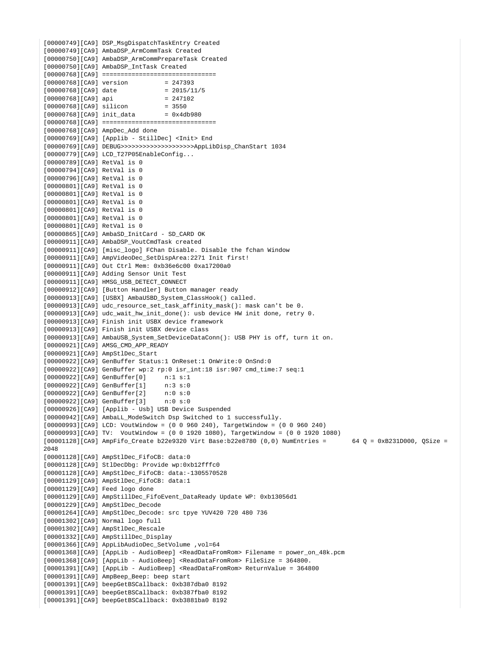[00000749][CA9] DSP\_MsgDispatchTaskEntry Created [00000749][CA9] AmbaDSP\_ArmCommTask Created [00000750][CA9] AmbaDSP\_ArmCommPrepareTask Created [00000750][CA9] AmbaDSP\_IntTask Created [00000768][CA9] ===============================  $[00000768][C A9]$  version = 247393<br> $[00000768][C A9]$  date = 2015/11/5 [00000768][CA9] date [00000768][CA9] api = 247102  $[00000768]$  $[CA9]$  silicon  $[00000768][C_A9]$  init data = 0x4db980 [00000768][CA9] =============================== [00000768][CA9] AmpDec\_Add done [00000769][CA9] [Applib - StillDec] <Init> End [00000769][CA9] DEBUG>>>>>>>>>>>>>>>>>>>>AppLibDisp\_ChanStart 1034 [00000779][CA9] LCD\_T27P05EnableConfig... [00000789][CA9] RetVal is 0 [00000794][CA9] RetVal is 0 [00000796][CA9] RetVal is 0 [00000801][CA9] RetVal is 0 [00000801][CA9] RetVal is 0 [00000801][CA9] RetVal is 0 [00000801][CA9] RetVal is 0 [00000801][CA9] RetVal is 0 [00000801][CA9] RetVal is 0 [00000865][CA9] AmbaSD\_InitCard - SD\_CARD OK [00000911][CA9] AmbaDSP VoutCmdTask created [00000911][CA9] [misc\_logo] FChan Disable. Disable the fchan Window [00000911][CA9] AmpVideoDec\_SetDispArea:2271 Init first! [00000911][CA9] Out Ctrl Mem: 0xb36e6c00 0xa17200a0 [00000911][CA9] Adding Sensor Unit Test [00000911][CA9] HMSG\_USB\_DETECT\_CONNECT [00000912][CA9] [Button Handler] Button manager ready [00000913][CA9] [USBX] AmbaUSBD\_System\_ClassHook() called. [00000913][CA9] udc\_resource\_set\_task\_affinity\_mask(): mask can't be 0. [00000913][CA9] udc\_wait\_hw\_init\_done(): usb device HW init done, retry 0. [00000913][CA9] Finish init USBX device framework [00000913][CA9] Finish init USBX device class [00000913][CA9] AmbaUSB\_System\_SetDeviceDataConn(): USB PHY is off, turn it on. [00000921][CA9] AMSG\_CMD\_APP\_READY [00000921][CA9] AmpStlDec\_Start [00000922][CA9] GenBuffer Status:1 OnReset:1 OnWrite:0 OnSnd:0 [00000922][CA9] GenBuffer wp:2 rp:0 isr\_int:18 isr:907 cmd\_time:7 seq:1 [00000922][CA9] GenBuffer[0] n:1 s:1 [00000922][CA9] GenBuffer[1] n:3 s:0  $[00000922][C_A9]$  GenBuffer $[2]$ [00000922][CA9] GenBuffer[3] n:0 s:0 [00000926][CA9] [Applib - Usb] USB Device Suspended [00000942][CA9] AmbaLL\_ModeSwitch Dsp Switched to 1 successfully. [00000993][CA9] LCD: VoutWindow = (0 0 960 240), TargetWindow = (0 0 960 240) [00000993][CA9] TV: VoutWindow = (0 0 1920 1080), TargetWindow = (0 0 1920 1080) [00001128][CA9] AmpFifo\_Create b22e9320 Virt Base:b22e8780 (0,0) NumEntries = 64 Q = 0xB231D000, QSize = 2048 [00001128][CA9] AmpStlDec\_FifoCB: data:0 [00001128][CA9] StlDecDbg: Provide wp:0xb12fffc0 [00001128][CA9] AmpStlDec\_FifoCB: data:-1305570528 [00001129][CA9] AmpStlDec\_FifoCB: data:1 [00001129][CA9] Feed logo done [00001129][CA9] AmpStillDec\_FifoEvent\_DataReady Update WP: 0xb13056d1 [00001229][CA9] AmpStlDec\_Decode [00001264][CA9] AmpStlDec\_Decode: src tpye YUV420 720 480 736 [00001302][CA9] Normal logo full [00001302][CA9] AmpStlDec\_Rescale [00001332][CA9] AmpStillDec\_Display [00001366][CA9] AppLibAudioDec\_SetVolume ,vol=64 [00001368][CA9] [AppLib - AudioBeep] <ReadDataFromRom> Filename = power\_on\_48k.pcm [00001368][CA9] [AppLib - AudioBeep] <ReadDataFromRom> FileSize = 364800. [00001391][CA9] [AppLib - AudioBeep] <ReadDataFromRom> ReturnValue = 364800 [00001391][CA9] AmpBeep\_Beep: beep start [00001391][CA9] beepGetBSCallback: 0xb387dba0 8192 [00001391][CA9] beepGetBSCallback: 0xb387fba0 8192 [00001391][CA9] beepGetBSCallback: 0xb3881ba0 8192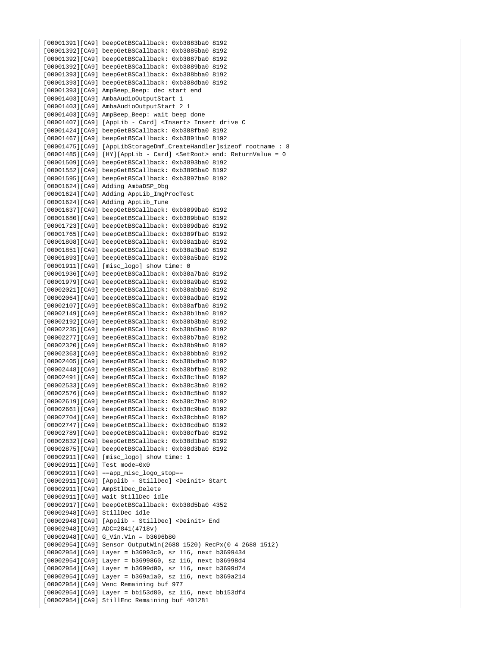```
[00001391][CA9] beepGetBSCallback: 0xb3883ba0 8192
[00001392][CA9] beepGetBSCallback: 0xb3885ba0 8192
[00001392][CA9] beepGetBSCallback: 0xb3887ba0 8192
[00001392][CA9] beepGetBSCallback: 0xb3889ba0 8192
[00001393][CA9] beepGetBSCallback: 0xb388bba0 8192
[00001393][CA9] beepGetBSCallback: 0xb388dba0 8192
[00001393][CA9] AmpBeep_Beep: dec start end
[00001403][CA9] AmbaAudioOutputStart 1
[00001403][CA9] AmbaAudioOutputStart 2 1
[00001403][CA9] AmpBeep_Beep: wait beep done
[00001407][CA9] [AppLib - Card] <Insert> Insert drive C
[00001424][CA9] beepGetBSCallback: 0xb388fba0 8192
[00001467][CA9] beepGetBSCallback: 0xb3891ba0 8192
[00001475][CA9] [AppLibStorageDmf_CreateHandler]sizeof rootname : 8
[00001485][CA9] [HY][AppLib - Card] <SetRoot> end: ReturnValue = 0
[00001509][CA9] beepGetBSCallback: 0xb3893ba0 8192
[00001552][CA9] beepGetBSCallback: 0xb3895ba0 8192
[00001595][CA9] beepGetBSCallback: 0xb3897ba0 8192
[00001624][CA9] Adding AmbaDSP_Dbg
[00001624][CA9] Adding AppLib_ImgProcTest
[00001624][CA9] Adding AppLib_Tune
[00001637][CA9] beepGetBSCallback: 0xb3899ba0 8192
[00001680][CA9] beepGetBSCallback: 0xb389bba0 8192
[00001723][CA9] beepGetBSCallback: 0xb389dba0 8192
[00001765][CA9] beepGetBSCallback: 0xb389fba0 8192
[00001808][CA9] beepGetBSCallback: 0xb38a1ba0 8192
[00001851][CA9] beepGetBSCallback: 0xb38a3ba0 8192
[00001893][CA9] beepGetBSCallback: 0xb38a5ba0 8192
[00001911][CA9] [misc_logo] show time: 0
[00001936][CA9] beepGetBSCallback: 0xb38a7ba0 8192
[00001979][CA9] beepGetBSCallback: 0xb38a9ba0 8192
[00002021][CA9] beepGetBSCallback: 0xb38abba0 8192
[00002064][CA9] beepGetBSCallback: 0xb38adba0 8192
[00002107][CA9] beepGetBSCallback: 0xb38afba0 8192
[00002149][CA9] beepGetBSCallback: 0xb38b1ba0 8192
[00002192][CA9] beepGetBSCallback: 0xb38b3ba0 8192
[00002235][CA9] beepGetBSCallback: 0xb38b5ba0 8192
[00002277][CA9] beepGetBSCallback: 0xb38b7ba0 8192
[00002320][CA9] beepGetBSCallback: 0xb38b9ba0 8192
[00002363][CA9] beepGetBSCallback: 0xb38bbba0 8192
[00002405][CA9] beepGetBSCallback: 0xb38bdba0 8192
[00002448][CA9] beepGetBSCallback: 0xb38bfba0 8192
[00002491][CA9] beepGetBSCallback: 0xb38c1ba0 8192
[00002533][CA9] beepGetBSCallback: 0xb38c3ba0 8192
[00002576][CA9] beepGetBSCallback: 0xb38c5ba0 8192
[00002619][CA9] beepGetBSCallback: 0xb38c7ba0 8192
[00002661][CA9] beepGetBSCallback: 0xb38c9ba0 8192
[00002704][CA9] beepGetBSCallback: 0xb38cbba0 8192
[00002747][CA9] beepGetBSCallback: 0xb38cdba0 8192
[00002789][CA9] beepGetBSCallback: 0xb38cfba0 8192
[00002832][CA9] beepGetBSCallback: 0xb38d1ba0 8192
[00002875][CA9] beepGetBSCallback: 0xb38d3ba0 8192
[00002911][CA9] [misc_logo] show time: 1
[00002911][CA9] Test mode=0x0
[00002911][CA9] ==app_misc_logo_stop==
[00002911][CA9] [Applib - StillDec] <Deinit> Start
[00002911][CA9] AmpStlDec_Delete
[00002911][CA9] wait StillDec idle
[00002917][CA9] beepGetBSCallback: 0xb38d5ba0 4352
[00002948][CA9] StillDec idle
[00002948][CA9] [Applib - StillDec] <Deinit> End
[00002948][CA9] ADC=2841(4718v)
[00002948][CA9] G_Vin.Vin = b3696b80
[00002954][CA9] Sensor OutputWin(2688 1520) RecPx(0 4 2688 1512)
[00002954][CA9] Layer = b36993c0, sz 116, next b3699434
[00002954][CA9] Layer = b3699860, sz 116, next b36998d4
[00002954][CA9] Layer = b3699d00, sz 116, next b3699d74
[00002954][CA9] Layer = b369a1a0, sz 116, next b369a214
[00002954][CA9] Venc Remaining buf 977
[00002954][CA9] Layer = bb153d80, sz 116, next bb153df4
[00002954][CA9] StillEnc Remaining buf 401281
```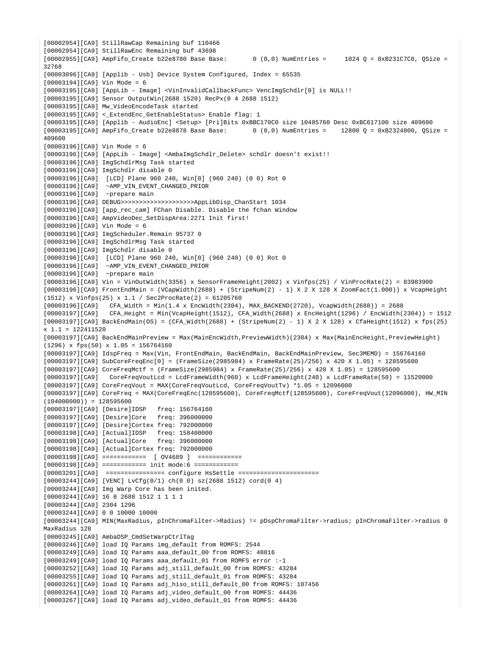[00002954][CA9] StillRawCap Remaining buf 110466 [00002954][CA9] StillRawEnc Remaining buf 43698  $[00002955][C\text{A}9]$  AmpFifo\_Create b22e8780 Base Base: 0 (0,0) NumEntries = 1024 Q = 0xB231C7C0, QSize = 32768 [00003096][CA9] [Applib - Usb] Device System Configured, Index = 65535 [00003194][CA9] Vin Mode = 6 [00003195][CA9] [AppLib - Image] <VinInvalidCallbackFunc> VencImgSchdlr[0] is NULL!! [00003195][CA9] Sensor OutputWin(2688 1520) RecPx(0 4 2688 1512) [00003195][CA9] Mw\_VideoEncodeTask started [00003195][CA9] < ExtendEnc GetEnableStatus> Enable flag: 1 [00003195][CA9] [Applib - AudioEnc] <Setup> [Pri]Bits 0xBBC170C0 size 10485760 Desc 0xBC617100 size 409600  $[00003195][C\text{A}9]$  AmpFifo\_Create b22e8878 Base Base: 0 (0,0) NumEntries = 12800 Q = 0xB2324800, QSize = 409600 [00003196][CA9] Vin Mode = 6 [00003196][CA9] [AppLib - Image] <AmbaImgSchdlr\_Delete> schdlr doesn't exist!! [00003196][CA9] ImgSchdlrMsg Task started [00003196][CA9] ImgSchdlr disable 0 [00003196][CA9] [LCD] Plane 960 240, Win[0] (960 240) (0 0) Rot 0 [00003196][CA9] ~AMP\_VIN\_EVENT\_CHANGED\_PRIOR [00003196][CA9] ~prepare main [00003196][CA9] DEBUG>>>>>>>>>>>>>>>>>>>>AppLibDisp\_ChanStart 1034 [00003196][CA9] [app\_rec\_cam] FChan Disable. Disable the fchan Window [00003196][CA9] AmpVideoDec\_SetDispArea:2271 Init first! [00003196][CA9] Vin Mode = 6 [00003196][CA9] ImgScheduler.Remain 95737 0 [00003196][CA9] ImgSchdlrMsg Task started [00003196][CA9] ImgSchdlr disable 0 [00003196][CA9] [LCD] Plane 960 240, Win[0] (960 240) (0 0) Rot 0 [00003196][CA9] ~AMP\_VIN\_EVENT\_CHANGED\_PRIOR [00003196][CA9] ~prepare main [00003196][CA9] Vin = VinOutWidth(3356) x SensorFrameHeight(2002) x Vinfps(25) / VinProcRate(2) = 83983900 [00003196][CA9] FrontEndMain = (VCapWidth(2688) + (StripeNum(2) - 1) X 2 X 128 X ZoomFact(1.000)) x VcapHeight (1512) x Vinfps(25) x 1.1 / Sec2ProcRate(2) = 61205760 [00003196][CA9] CFA\_Width = Min(1.4 x EncWidth(2304), MAX\_BACKEND(2720), VcapWidth(2688)) = 2688 [00003197][CA9] CFA\_Height = Min(VcapHeight(1512), CFA\_Width(2688) x EncHeight(1296) / EncWidth(2304)) = 1512  $[00003197][CA9]$  BackEndMain(OS) = (CFA Width(2688) + (StripeNum(2) - 1) X 2 X 128) x CfaHeight(1512) x fps(25) x 1.1 = 122411520 [00003197][CA9] BackEndMainPreview = Max(MainEncWidth,PreviewWidth)(2304) x Max(MainEncHeight,PreviewHeight)  $(1296)$  x fps(50) x 1.05 = 156764160 [00003197][CA9] IdspFreq = Max(Vin, FrontEndMain, BackEndMain, BackEndMainPreview, Sec3MEMD) = 156764160 [00003197][CA9] SubCoreFreqEnc[0] = (FrameSize(2985984) x FrameRate(25)/256) x 420 X 1.05) = 128595600 [00003197][CA9] CoreFreqMctf = (FrameSize(2985984) x FrameRate(25)/256) x 420 X 1.05) = 128595600 [00003197][CA9] CoreFreqVoutLcd = LcdFrameWidth(960) x LcdFrameHeight(240) x LcdFrameRate(50) = 11520000 [00003197][CA9] CoreFreqVout = MAX(CoreFreqVoutLcd, CoreFreqVoutTv) \*1.05 = 12096000 [00003197][CA9] CoreFreq = MAX(CoreFreqEnc(128595600), CoreFreqMctf(128595600), CoreFreqVout(12096000), HW\_MIN  $(104000000)$  = 128595600 [00003197][CA9] [Desire]IDSP freq: 156764160 [00003197][CA9] [Desire]Core freq: 396000000 [00003197][CA9] [Desire]Cortex freq: 792000000 [00003198][CA9] [Actual]IDSP freq: 158400000 [00003198][CA9] [Actual]Core freq: 396000000 [00003198][CA9] [Actual]Cortex freq: 792000000 [00003198][CA9] ============ [ OV4689 ] ============ [00003198][CA9] ============ init mode:6 ============ [00003201][CA9] ================ configure HsSettle ====================== [00003244][CA9] [VENC] LvCfg(0/1) ch(0 0) sz(2688 1512) cord(0 4) [00003244][CA9] Img Warp Core has been inited. [00003244][CA9] 16 8 2688 1512 1 1 1 1 [00003244][CA9] 2304 1296 [00003244][CA9] 0 0 10000 10000 [00003244][CA9] MIN(MaxRadius, pInChromaFilter->Radius) != pDspChromaFilter->radius; pInChromaFilter->radius 0 MaxRadius 128 [00003245][CA9] AmbaDSP\_CmdSetWarpCtrlTag [00003246][CA9] load IQ Params img\_default from ROMFS: 2544 [00003249][CA9] load IQ Params aaa\_default\_00 from ROMFS: 48016 [00003249][CA9] load IQ Params aaa\_default\_01 from ROMFS error :-1 [00003252][CA9] load IQ Params adj\_still\_default\_00 from ROMFS: 43284 [00003255][CA9] load IQ Params adj\_still\_default\_01 from ROMFS: 43284 [00003261][CA9] load IQ Params adj\_hiso\_still\_default\_00 from ROMFS: 107456 [00003264][CA9] load IQ Params adj\_video\_default\_00 from ROMFS: 44436 [00003267][CA9] load IQ Params adj\_video\_default\_01 from ROMFS: 44436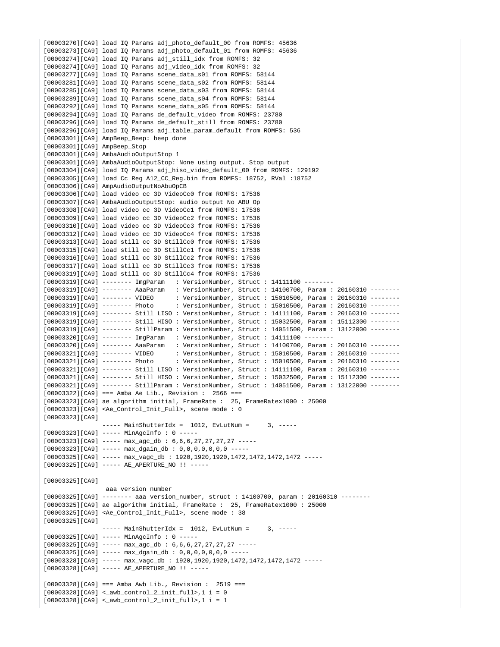```
[00003270][CA9] load IQ Params adj_photo_default_00 from ROMFS: 45636
[00003273][CA9] load IQ Params adj_photo_default_01 from ROMFS: 45636
[00003274][CA9] load IQ Params adj still idx from ROMFS: 32
[00003274][CA9] load IQ Params adj_video_idx from ROMFS: 32
[00003277][CA9] load IQ Params scene_data_s01 from ROMFS: 58144
[00003281][CA9] load IQ Params scene_data_s02 from ROMFS: 58144
[00003285][CA9] load IQ Params scene_data_s03 from ROMFS: 58144
[00003289][CA9] load IQ Params scene_data_s04 from ROMFS: 58144
[00003292][CA9] load IQ Params scene_data_s05 from ROMFS: 58144
[00003294][CA9] load IQ Params de_default_video from ROMFS: 23780
[00003296][CA9] load IQ Params de_default_still from ROMFS: 23780
[00003296][CA9] load IQ Params adj_table_param_default from ROMFS: 536
[00003301][CA9] AmpBeep_Beep: beep done
[00003301][CA9] AmpBeep_Stop
[00003301][CA9] AmbaAudioOutputStop 1
[00003301][CA9] AmbaAudioOutputStop: None using output. Stop output
[00003304][CA9] load IQ Params adj_hiso_video_default_00 from ROMFS: 129192
[00003305][CA9] load Cc Reg A12_CC_Reg.bin from ROMFS: 18752, RVal :18752
[00003306][CA9] AmpAudioOutputNoAbuOpCB
[00003306][CA9] load video cc 3D VideoCc0 from ROMFS: 17536
[00003307][CA9] AmbaAudioOutputStop: audio output No ABU Op
[00003308][CA9] load video cc 3D VideoCc1 from ROMFS: 17536
[00003309][CA9] load video cc 3D VideoCc2 from ROMFS: 17536
[00003310][CA9] load video cc 3D VideoCc3 from ROMFS: 17536
[00003312][CA9] load video cc 3D VideoCc4 from ROMFS: 17536
[00003313][CA9] load still cc 3D StillCc0 from ROMFS: 17536
[00003315][CA9] load still cc 3D StillCc1 from ROMFS: 17536
[00003316][CA9] load still cc 3D StillCc2 from ROMFS: 17536
[00003317][CA9] load still cc 3D StillCc3 from ROMFS: 17536
[00003319][CA9] load still cc 3D StillCc4 from ROMFS: 17536
[00003319][CA9] -------- ImgParam : VersionNumber, Struct : 14111100 --------
[00003319][CA9] -------- AaaParam : VersionNumber, Struct : 14100700, Param : 20160310 --------
[00003319][CA9] -------- VIDEO : VersionNumber, Struct : 15010500, Param : 20160310 --------
[00003319][CA9] -------- Photo : VersionNumber, Struct : 15010500, Param : 20160310 --------
[00003319][CA9] -------- Still LISO : VersionNumber, Struct : 14111100, Param : 20160310 --------
[00003319][CA9] -------- Still HISO : VersionNumber, Struct : 15032500, Param : 15112300 --------
[00003319][CA9] -------- StillParam : VersionNumber, Struct : 14051500, Param : 13122000 --------
[00003320][CA9] -------- ImgParam : VersionNumber, Struct : 14111100 --------
[00003320][CA9] -------- AaaParam : VersionNumber, Struct : 14100700, Param : 20160310 --------
[00003321][CA9] ------- VIDEO : VersionNumber, Struct : 15010500, Param : 20160310 -------<br>[00003321][CA9] ------- Photo : VersionNumber, Struct : 15010500, Param : 20160310 -------
                                   : VersionNumber, Struct : 15010500, Param : 20160310 -------
[00003321][CA9] -------- Still LISO : VersionNumber, Struct : 14111100, Param : 20160310 --------
[00003321][CA9] -------- Still HISO : VersionNumber, Struct : 15032500, Param : 15112300 --------
[00003321][CA9] -------- StillParam : VersionNumber, Struct : 14051500, Param : 13122000 --------
[00003322][CA9] === Amba Ae Lib., Revision : 2566 ===
[00003323][CA9] ae algorithm initial, FrameRate : 25, FrameRatex1000 : 25000
[00003323][CA9] <Ae_Control_Init_Full>, scene mode : 0
[00003323][CA9]
                --- MainShutterIdx = 1012, EvLutNum = 3, ---[00003323][CA9] ----- MinAgcInfo : 0 -----
[00003323][CA9] ----- max_agc_db : 6,6,6,27,27,27,27 -----
[00003323][CA9] ----- max_dgain_db : 0,0,0,0,0,0,0 -----
[00003325][CA9] ----- max_vagc_db : 1920,1920,1920,1472,1472,1472,1472 -----
[00003325][CA9] ----- AE_APERTURE_NO !! -----
[00003325][CA9]
                  aaa version number
[00003325][CA9] -------- aaa version_number, struct : 14100700, param : 20160310 --------
[00003325][CA9] ae algorithm initial, FrameRate : 25, FrameRatex1000 : 25000
[00003325][CA9] <Ae_Control_Init_Full>, scene mode : 38
[00003325][CA9]
                --- MainShutterIdx = 1012, EvLutNum = 3, ---[00003325][CA9] ----- MinAgcInfo : 0 -----
[00003325][CA9] ----- max_{a}gc_{db} : 6,6,6,27,27,27,27 -----
[00003325][C A9] ----- max_dgain_db : 0,0,0,0,0,0,0 -----
[00003328][CA9] ----- max_vagc_db : 1920,1920,1920,1472,1472,1472,1472 -----
[00003328][CA9] ----- AE_APERTURE_NO !! -----
[00003328][CA9] === Amba Awb Lib., Revision : 2519 ===
[00003328][C A9] < \_awb\_{control_2\_init_full>, 1 i = 0[00003328][CA9] <_awb_control_2_init_full>,1 i = 1
```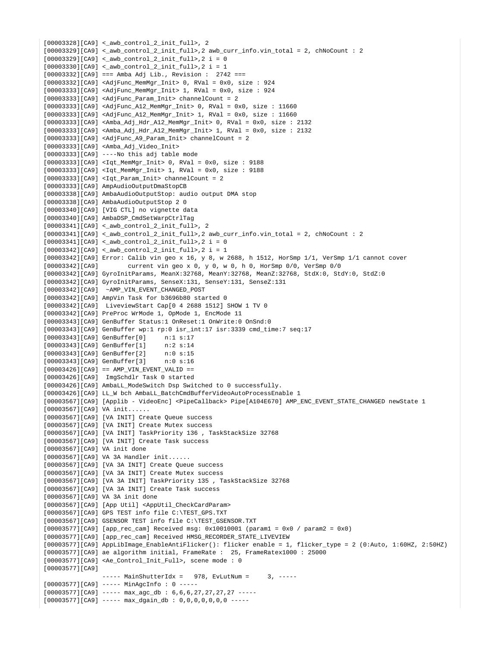```
[00003328][CA9] <_awb_control_2_init_full>, 2
[00003329][CA9] < \_aw\_{control_2init_full>, 2 awb_curr_info.vin_total = 2, chNoCount : 2
[00003329][C A9] < \_awb\_control_2\_init\_full > 2 i = 0[00003330][CA9] <_awb_control_2_init_full>,2 i = 1
[00003332][CA9] === Amba Adj Lib., Revision : 2742 ===
[00003332][CA9] <AdjFunc_MemMgr_Init> 0, RVal = 0x0, size : 924
[00003333][CA9] <AdjFunc_MemMgr_Init> 1, RVal = 0x0, size : 924
[00003333][CA9] <AdjFunc_Param_Init> channelCount = 2
[00003333][CA9] <AdjFunc_A12_MemMgr_Init> 0, RVal = 0x0, size : 11660
[00003333][CA9] <AdjFunc_A12_MemMgr_Init> 1, RVal = 0x0, size : 11660
[00003333][CA9] <Amba_Adj_Hdr_A12_MemMgr_Init> 0, RVal = 0x0, size : 2132
[00003333][CA9] <Amba_Adj_Hdr_A12_MemMgr_Init> 1, RVal = 0x0, size : 2132
[00003333][C_A9] <AdjFunc A9 Param Init> channelCount = 2
[00003333][CA9] <Amba_Adj_Video_Init>
[00003333][CA9] ----No this adj table mode
[00003333][CA9] <Iqt_MemMgr_Init> 0, RVal = 0x0, size : 9188
[00003333][CA9] <Iqt_MemMgr_Init> 1, RVal = 0x0, size : 9188
[00003333][C A9] <Iqt_Param_Init> channelCount = 2
[00003333][CA9] AmpAudioOutputDmaStopCB
[00003338][CA9] AmbaAudioOutputStop: audio output DMA stop
[00003338][CA9] AmbaAudioOutputStop 2 0
[00003340][CA9] [VIG CTL] no vignette data
[00003340][CA9] AmbaDSP_CmdSetWarpCtrlTag
[00003341][CA9] <_awb_control_2_init_full>, 2
[00003341][CA9] <_awb_control_2_init_full>,2 awb_curr_info.vin_total = 2, chNoCount : 2
[00003341][C A9] < \_awb\_{control_2init_full}, 2 i = 0
[00003342][CA9] <_awb_control_2_init_full>,2 i = 1
[00003342][CA9] Error: Calib vin geo x 16, y 8, w 2688, h 1512, HorSmp 1/1, VerSmp 1/1 cannot cover
[00003342][CA9] current vin geo x 0, y 0, w 0, h 0, HorSmp 0/0, VerSmp 0/0
[00003342][CA9] GyroInitParams, MeanX:32768, MeanY:32768, MeanZ:32768, StdX:0, StdY:0, StdZ:0
[00003342][CA9] GyroInitParams, SenseX:131, SenseY:131, SenseZ:131
[00003342][CA9] ~AMP_VIN_EVENT_CHANGED_POST
[00003342][CA9] AmpVin Task for b3696b80 started 0
[00003342][CA9] LiveviewStart Cap[0 4 2688 1512] SHOW 1 TV 0
[00003342][CA9] PreProc WrMode 1, OpMode 1, EncMode 11
[00003343][CA9] GenBuffer Status:1 OnReset:1 OnWrite:0 OnSnd:0
[00003343][CA9] GenBuffer wp:1 rp:0 isr_int:17 isr:3339 cmd_time:7 seq:17
[00003343][CA9] GenBuffer[0] n:1 s:17
[00003343][CA9] GenBuffer[1] n:2 s:14
[00003343][CA9] GenBuffer[2] n:0 s:15
[00003343][CA9] GenBuffer[3] n:0 s:16
[00003426][C_A9] == AMP VIN EVENT VALID ==
[00003426][CA9] ImgSchdlr Task 0 started
[00003426][CA9] AmbaLL_ModeSwitch Dsp Switched to 0 successfully.
[00003426][CA9] LL_W bch AmbaLL_BatchCmdBufferVideoAutoProcessEnable 1
[00003567][CA9] [Applib - VideoEnc] <PipeCallback> Pipe[A104E670] AMP_ENC_EVENT_STATE_CHANGED newState 1
[00003567][CA9] VA init......
[00003567][CA9] [VA INIT] Create Queue success
[00003567][CA9] [VA INIT] Create Mutex success
[00003567][CA9] [VA INIT] TaskPriority 136 , TaskStackSize 32768
[00003567][CA9] [VA INIT] Create Task success
[00003567][CA9] VA init done
[00003567][CA9] VA 3A Handler init......
[00003567][CA9] [VA 3A INIT] Create Queue success
[00003567][CA9] [VA 3A INIT] Create Mutex success
[00003567][CA9] [VA 3A INIT] TaskPriority 135 , TaskStackSize 32768
[00003567][CA9] [VA 3A INIT] Create Task success
[00003567][CA9] VA 3A init done
[00003567][CA9] [App Util] <AppUtil_CheckCardParam>
[00003567][CA9] GPS TEST info file C:\TEST_GPS.TXT
[00003567][CA9] GSENSOR TEST info file C:\TEST_GSENSOR.TXT
[00003577][CA9] [app_rec_cam] Received msg: 0x10010001 (param1 = 0x0 / param2 = 0x0)
[00003577][CA9] [app_rec_cam] Received HMSG_RECORDER_STATE_LIVEVIEW
[00003577][CA9] AppLibImage_EnableAntiFlicker(): flicker enable = 1, flicker_type = 2 (0:Auto, 1:60HZ, 2:50HZ)
[00003577][CA9] ae algorithm initial, FrameRate : 25, FrameRatex1000 : 25000
[00003577][CA9] <Ae_Control_Init_Full>, scene mode : 0
[00003577][CA9]
                --- MainShutterIdx = 978, EvLutNum = 3, ---[00003577][CA9] ----- MinAgcInfo : 0 -----
[00003577][C_A9] ----- max_{a}gc_{db} : 6,6,6,27,27,27,27 -----
[00003577][C\text{A}9] ----- \text{max\_dgain\_db} : 0,0,0,0,0,0,0 -----
```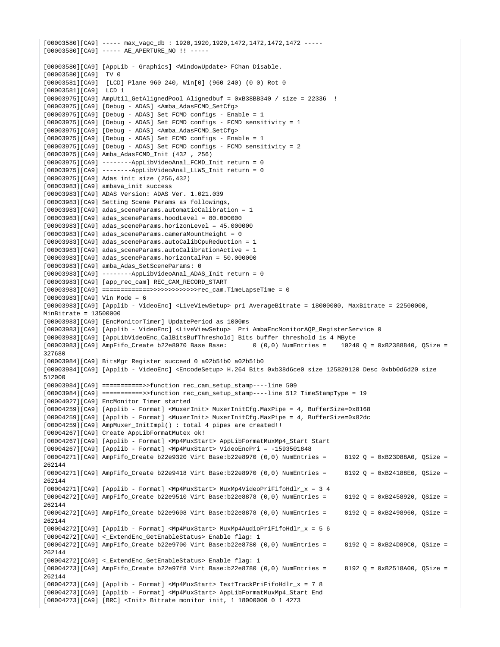$[00003580][C\&9]$  ---- max vagc db : 1920,1920,1920,1472,1472,1472,1472 -----[00003580][CA9] ----- AE\_APERTURE\_NO !! ----- [00003580][CA9] [AppLib - Graphics] <WindowUpdate> FChan Disable. [00003580][CA9] TV 0 [00003581][CA9] [LCD] Plane 960 240, Win[0] (960 240) (0 0) Rot 0 [00003581][CA9] LCD 1 [00003975][CA9] AmpUtil\_GetAlignedPool Alignedbuf = 0xB38BB340 / size = 22336 ! [00003975][CA9] [Debug - ADAS] <Amba\_AdasFCMD\_SetCfg>  $[00003975][CA9]$  [Debug - ADAS] Set FCMD configs - Enable = 1 [00003975][CA9] [Debug - ADAS] Set FCMD configs - FCMD sensitivity = 1 [00003975][CA9] [Debug - ADAS] <Amba\_AdasFCMD\_SetCfg> [00003975][CA9] [Debug - ADAS] Set FCMD configs - Enable = 1 [00003975][CA9] [Debug - ADAS] Set FCMD configs - FCMD sensitivity = 2 [00003975][CA9] Amba\_AdasFCMD\_Init (432 , 256)  $[00003975][CA9]$  -------AppLibVideoAnal FCMD Init return = 0 [00003975][CA9] --------AppLibVideoAnal\_LLWS\_Init return = 0 [00003975][CA9] Adas init size (256,432) [00003983][CA9] ambava\_init success [00003983][CA9] ADAS Version: ADAS Ver. 1.021.039 [00003983][CA9] Setting Scene Params as followings, [00003983][CA9] adas\_sceneParams.automaticCalibration = 1 [00003983][CA9] adas\_sceneParams.hoodLevel = 80.000000 [00003983][CA9] adas\_sceneParams.horizonLevel = 45.000000 [00003983][CA9] adas\_sceneParams.cameraMountHeight = 0 [00003983][CA9] adas\_sceneParams.autoCalibCpuReduction = 1 [00003983][CA9] adas\_sceneParams.autoCalibrationActive = 1 [00003983][CA9] adas\_sceneParams.horizontalPan = 50.000000 [00003983][CA9] amba\_Adas\_SetSceneParams: 0 [00003983][CA9] --------AppLibVideoAnal\_ADAS\_Init return = 0 [00003983][CA9] [app\_rec\_cam] REC\_CAM\_RECORD\_START [00003983][CA9] =============>>>>>>>>>>>>>rec\_cam.TimeLapseTime = 0 [00003983][CA9] Vin Mode = 6 [00003983][CA9] [Applib - VideoEnc] <LiveViewSetup> pri AverageBitrate = 18000000, MaxBitrate = 22500000,  $MinBitrate = 13500000$ [00003983][CA9] [EncMonitorTimer] UpdatePeriod as 1000ms [00003983][CA9] [Applib - VideoEnc] <LiveViewSetup> Pri AmbaEncMonitorAQP\_RegisterService 0 [00003983][CA9] [AppLibVideoEnc\_CalBitsBufThreshold] Bits buffer threshold is 4 MByte  $[00003983][C_A9]$  AmpFifo Create b22e8970 Base Base: 0 (0,0) NumEntries = 10240 Q = 0xB2388840, OSize = 327680 [00003984][CA9] BitsMgr Register succeed 0 a02b51b0 a02b51b0 [00003984][CA9] [Applib - VideoEnc] <EncodeSetup> H.264 Bits 0xb38d6ce0 size 125829120 Desc 0xbb0d6d20 size 512000 [00003984][CA9] ===========>>function rec\_cam\_setup\_stamp----line 509 [00003984][CA9] ===========>>function rec\_cam\_setup\_stamp----line 512 TimeStampType = 19 [00004027][CA9] EncMonitor Timer started [00004259][CA9] [Applib - Format] <MuxerInit> MuxerInitCfg.MaxPipe = 4, BufferSize=0x8168 [00004259][CA9] [Applib - Format] <MuxerInit> MuxerInitCfg.MaxPipe = 4, BufferSize=0x82dc [00004259][CA9] AmpMuxer\_InitImpl() : total 4 pipes are created!! [00004267][CA9] Create AppLibFormatMutex ok! [00004267][CA9] [Applib - Format] <Mp4MuxStart> AppLibFormatMuxMp4\_Start Start [00004267][CA9] [Applib - Format] <Mp4MuxStart> VideoEncPri = -1593501848  $[00004271][C_A9]$  AmpFifo\_Create b22e9320 Virt Base:b22e8970 (0,0) NumEntries = 8192 Q = 0xB23D88A0, QSize = 262144  $[00004271][C_A9]$  AmpFifo\_Create b22e9418 Virt Base:b22e8970 (0,0) NumEntries = 8192 Q = 0xB24188E0, QSize = 262144 [00004271][CA9] [Applib - Format] <Mp4MuxStart> MuxMp4VideoPriFifoHdlr\_x = 3 4  $[00004272][C\text{A}9]$  AmpFifo Create b22e9510 Virt Base:b22e8878 (0,0) NumEntries = 8192 Q = 0xB2458920, OSize = 262144 [00004272][CA9] AmpFifo\_Create b22e9608 Virt Base:b22e8878 (0,0) NumEntries = 8192 Q = 0xB2498960, QSize = 262144 [00004272][CA9] [Applib - Format] <Mp4MuxStart> MuxMp4AudioPriFifoHdlr\_x = 5 6 [00004272][CA9] < ExtendEnc GetEnableStatus> Enable flag: 1 [00004272][CA9] AmpFifo\_Create b22e9700 Virt Base:b22e8780 (0,0) NumEntries = 8192 Q = 0xB24D89C0, QSize = 262144 [00004272][CA9] <\_ExtendEnc\_GetEnableStatus> Enable flag: 1 [00004273][CA9] AmpFifo\_Create b22e97f8 Virt Base:b22e8780 (0,0) NumEntries = 8192 Q = 0xB2518A00, QSize = 262144 [00004273][CA9] [Applib - Format] <Mp4MuxStart> TextTrackPriFifoHdlr\_x = 7 8 [00004273][CA9] [Applib - Format] <Mp4MuxStart> AppLibFormatMuxMp4\_Start End [00004273][CA9] [BRC] <Init> Bitrate monitor init, 1 18000000 0 1 4273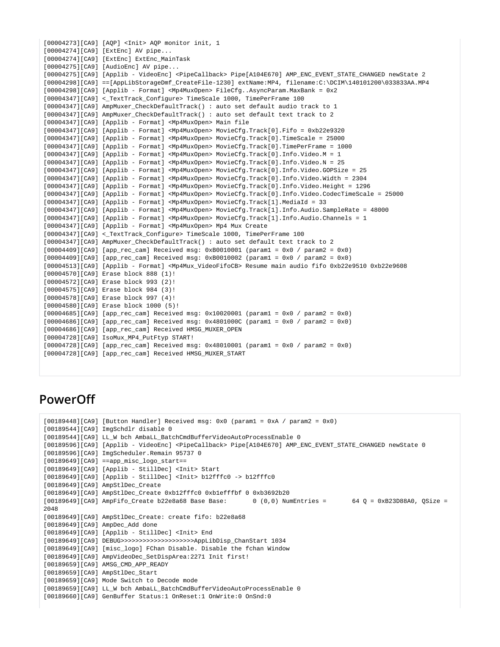```
[00004273][CA9] [AQP] <Init> AQP monitor init, 1
[00004274][CA9] [ExtEnc] AV pipe...
[00004274][CA9] [ExtEnc] ExtEnc_MainTask
[00004275][CA9] [AudioEnc] AV pipe...
[00004275][CA9] [Applib - VideoEnc] <PipeCallback> Pipe[A104E670] AMP_ENC_EVENT_STATE_CHANGED newState 2
[00004298][CA9] ==[AppLibStorageDmf_CreateFile-1230] extName:MP4, filename:C:\DCIM\140101200\033833AA.MP4
[00004298][CA9] [Applib - Format] <Mp4MuxOpen> FileCfg..AsyncParam.MaxBank = 0x2
[00004347][CA9] <_TextTrack_Configure> TimeScale 1000, TimePerFrame 100
[00004347][CA9] AmpMuxer_CheckDefaultTrack() : auto set default audio track to 1
[00004347][CA9] AmpMuxer_CheckDefaultTrack() : auto set default text track to 2
[00004347][CA9] [Applib - Format] <Mp4MuxOpen> Main file
[00004347][CA9] [Applib - Format] <Mp4MuxOpen> MovieCfg.Track[0].Fifo = 0xb22e9320
[00004347][CA9] [Applib - Format] <Mp4MuxOpen> MovieCfg.Track[0].TimeScale = 25000
[00004347][CA9] [Applib - Format] <Mp4MuxOpen> MovieCfg.Track[0].TimePerFrame = 1000
[00004347][CA9] [Applib - Format] <Mp4MuxOpen> MovieCfg.Track[0].Info.Video.M = 1
[00004347][CA9] [Applib - Format] <Mp4MuxOpen> MovieCfg.Track[0].Info.Video.N = 25
[00004347][CA9] [Applib - Format] <Mp4MuxOpen> MovieCfg.Track[0].Info.Video.GOPSize = 25
[00004347][CA9] [Applib - Format] <Mp4MuxOpen> MovieCfg.Track[0].Info.Video.Width = 2304
[00004347][CA9] [Applib - Format] <Mp4MuxOpen> MovieCfg.Track[0].Info.Video.Height = 1296
[00004347][CA9] [Applib - Format] <Mp4MuxOpen> MovieCfg.Track[0].Info.Video.CodecTimeScale = 25000
[00004347][CA9] [Applib - Format] <Mp4MuxOpen> MovieCfg.Track[1].MediaId = 33
[00004347][CA9] [Applib - Format] <Mp4MuxOpen> MovieCfg.Track[1].Info.Audio.SampleRate = 48000
[00004347][CA9] [Applib - Format] <Mp4MuxOpen> MovieCfg.Track[1].Info.Audio.Channels = 1
[00004347][CA9] [Applib - Format] <Mp4MuxOpen> Mp4 Mux Create
[00004347][CA9] <_TextTrack_Configure> TimeScale 1000, TimePerFrame 100
[00004347][CA9] AmpMuxer_CheckDefaultTrack() : auto set default text track to 2
[00004409][CA9] [app_rec_cam] Received msg: 0xB0010001 (param1 = 0x0 / param2 = 0x0)
[00004409][CA9] [app_rec_cam] Received msg: 0xB0010002 (param1 = 0x0 / param2 = 0x0)
[00004513][CA9] [Applib - Format] <Mp4Mux_VideoFifoCB> Resume main audio fifo 0xb22e9510 0xb22e9608
[00004570][CA9] Erase block 888 (1)!
[00004572][CA9] Erase block 993 (2)!
[00004575][CA9] Erase block 984 (3)!
[00004578][CA9] Erase block 997 (4)!
[00004580][CA9] Erase block 1000 (5)!
[00004685][CA9] [app_rec_cam] Received msg: 0x10020001 (param1 = 0x0 / param2 = 0x0)
[00004686][CA9] [app rec cam] Received msg: 0x4801000C (param1 = 0x0 / param2 = 0x0)
[00004686][CA9] [app_rec_cam] Received HMSG_MUXER_OPEN
[00004728][CA9] IsoMux_MP4_PutFtyp START!
[00004728][C\text{A}9] [app_rec_cam] Received msg: 0x48010001 (param1 = 0x0 / param2 = 0x0)
[00004728][CA9] [app_rec_cam] Received HMSG_MUXER_START
```
## **PowerOff**

```
[00189448][CA9] [Button Handler] Received msg: 0x0 (param1 = 0xA / param2 = 0x0)
[00189544][CA9] ImgSchdlr disable 0
[00189544][CA9] LL_W bch AmbaLL_BatchCmdBufferVideoAutoProcessEnable 0
[00189596][CA9] [Applib - VideoEnc] <PipeCallback> Pipe[A104E670] AMP_ENC_EVENT_STATE_CHANGED newState 0
[00189596][CA9] ImgScheduler.Remain 95737 0
[00189649][CA9] ==app_misc_logo_start==
[00189649][CA9] [Applib - StillDec] <Init> Start
[00189649][CA9] [Applib - StillDec] <Init> b12fffc0 -> b12fffc0
[00189649][CA9] AmpStlDec_Create
[00189649][CA9] AmpStlDec_Create 0xb12fffc0 0xb1efffbf 0 0xb3692b20
[00189649][C_A9] AmpFifo_Create b22e8a68 Base Base: 0 (0,0) NumEntries = 64 Q = 0xB23D88A0, QSize =
2048
[00189649][CA9] AmpStlDec_Create: create fifo: b22e8a68
[00189649][CA9] AmpDec_Add done
[00189649][CA9] [Applib - StillDec] <Init> End
[00189649][CA9] DEBUG>>>>>>>>>>>>>>>>>>>>AppLibDisp_ChanStart 1034
[00189649][CA9] [misc_logo] FChan Disable. Disable the fchan Window
[00189649][CA9] AmpVideoDec_SetDispArea:2271 Init first!
[00189659][CA9] AMSG_CMD_APP_READY
[00189659][CA9] AmpStlDec_Start
[00189659][CA9] Mode Switch to Decode mode
[00189659][CA9] LL_W bch AmbaLL_BatchCmdBufferVideoAutoProcessEnable 0
[00189660][CA9] GenBuffer Status:1 OnReset:1 OnWrite:0 OnSnd:0
```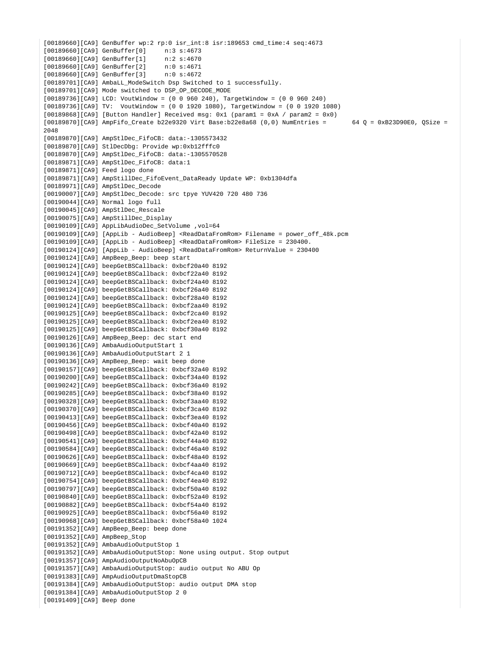```
[00189660][CA9] GenBuffer wp:2 rp:0 isr_int:8 isr:189653 cmd_time:4 seq:4673
[00189660][CA9] GenBuffer[0] n:3 s:4673
[00189660][CA9] GenBuffer[1] n:2 s:4670
[00189660][CA9] GenBuffer[2] n:0 s:4671
[00189660][CA9] GenBuffer[3] n:0 s:4672
[00189701][CA9] AmbaLL ModeSwitch Dsp Switched to 1 successfully.
[00189701][CA9] Mode switched to DSP_OP_DECODE_MODE
[00189736][CA9] LCD: VoutWindow = (0 0 960 240), TargetWindow = (0 0 960 240)
[00189736][CA9] TV: VoutWindow = (0 0 1920 1080), TargetWindow = (0 0 1920 1080)
[00189868][CA9] [Button Handler] Received msg: 0x1 (param1 = 0xA / param2 = 0x0)
[00189870][CAJ] AmpFifo_Create b22e9320 Virt Base:b22e8a68 (0,0) NumEntries = 64 Q = 0xB23D90E0, QSize =
2048
[00189870][CA9] AmpStlDec_FifoCB: data:-1305573432
[00189870][CA9] StlDecDbg: Provide wp:0xb12fffc0
[00189870][CA9] AmpStlDec_FifoCB: data:-1305570528
[00189871][CA9] AmpStlDec_FifoCB: data:1
[00189871][CA9] Feed logo done
[00189871][CA9] AmpStillDec_FifoEvent_DataReady Update WP: 0xb1304dfa
[00189971][CA9] AmpStlDec_Decode
[00190007][CA9] AmpStlDec_Decode: src tpye YUV420 720 480 736
[00190044][CA9] Normal logo full
[00190045][CA9] AmpStlDec_Rescale
[00190075][CA9] AmpStillDec_Display
[00190109][CA9] AppLibAudioDec_SetVolume ,vol=64
[00190109][CA9] [AppLib - AudioBeep] <ReadDataFromRom> Filename = power_off_48k.pcm
[00190109][CA9] [AppLib - AudioBeep] <ReadDataFromRom> FileSize = 230400.
[00190124][CA9] [AppLib - AudioBeep] <ReadDataFromRom> ReturnValue = 230400
[00190124][CA9] AmpBeep_Beep: beep start
[00190124][CA9] beepGetBSCallback: 0xbcf20a40 8192
[00190124][CA9] beepGetBSCallback: 0xbcf22a40 8192
[00190124][CA9] beepGetBSCallback: 0xbcf24a40 8192
[00190124][CA9] beepGetBSCallback: 0xbcf26a40 8192
[00190124][CA9] beepGetBSCallback: 0xbcf28a40 8192
[00190124][CA9] beepGetBSCallback: 0xbcf2aa40 8192
[00190125][CA9] beepGetBSCallback: 0xbcf2ca40 8192
[00190125][CA9] beepGetBSCallback: 0xbcf2ea40 8192
[00190125][CA9] beepGetBSCallback: 0xbcf30a40 8192
[00190126][CA9] AmpBeep_Beep: dec start end
[00190136][CA9] AmbaAudioOutputStart 1
[00190136][CA9] AmbaAudioOutputStart 2 1
[00190136][CA9] AmpBeep_Beep: wait beep done
[00190157][CA9] beepGetBSCallback: 0xbcf32a40 8192
[00190200][CA9] beepGetBSCallback: 0xbcf34a40 8192
[00190242][CA9] beepGetBSCallback: 0xbcf36a40 8192
[00190285][CA9] beepGetBSCallback: 0xbcf38a40 8192
[00190328][CA9] beepGetBSCallback: 0xbcf3aa40 8192
[00190370][CA9] beepGetBSCallback: 0xbcf3ca40 8192
[00190413][CA9] beepGetBSCallback: 0xbcf3ea40 8192
[00190456][CA9] beepGetBSCallback: 0xbcf40a40 8192
[00190498][CA9] beepGetBSCallback: 0xbcf42a40 8192
[00190541][CA9] beepGetBSCallback: 0xbcf44a40 8192
[00190584][CA9] beepGetBSCallback: 0xbcf46a40 8192
[00190626][CA9] beepGetBSCallback: 0xbcf48a40 8192
[00190669][CA9] beepGetBSCallback: 0xbcf4aa40 8192
[00190712][CA9] beepGetBSCallback: 0xbcf4ca40 8192
[00190754][CA9] beepGetBSCallback: 0xbcf4ea40 8192
[00190797][CA9] beepGetBSCallback: 0xbcf50a40 8192
[00190840][CA9] beepGetBSCallback: 0xbcf52a40 8192
[00190882][CA9] beepGetBSCallback: 0xbcf54a40 8192
[00190925][CA9] beepGetBSCallback: 0xbcf56a40 8192
[00190968][CA9] beepGetBSCallback: 0xbcf58a40 1024
[00191352][CA9] AmpBeep_Beep: beep done
[00191352][CA9] AmpBeep_Stop
[00191352][CA9] AmbaAudioOutputStop 1
[00191352][CA9] AmbaAudioOutputStop: None using output. Stop output
[00191357][CA9] AmpAudioOutputNoAbuOpCB
[00191357][CA9] AmbaAudioOutputStop: audio output No ABU Op
[00191383][CA9] AmpAudioOutputDmaStopCB
[00191384][CA9] AmbaAudioOutputStop: audio output DMA stop
[00191384][CA9] AmbaAudioOutputStop 2 0
[00191409][CA9] Beep done
```